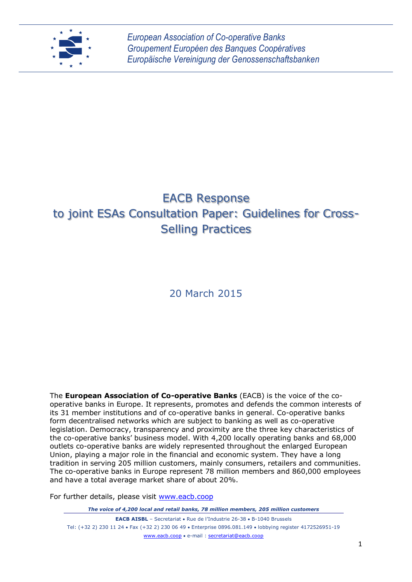

# EACB Response to joint ESAs Consultation Paper: Guidelines for Cross-Selling Practices

# 20 March 2015

The **European Association of Co-operative Banks** (EACB) is the voice of the cooperative banks in Europe. It represents, promotes and defends the common interests of its 31 member institutions and of co-operative banks in general. Co-operative banks form decentralised networks which are subject to banking as well as co-operative legislation. Democracy, transparency and proximity are the three key characteristics of the co-operative banks' business model. With 4,200 locally operating banks and 68,000 outlets co-operative banks are widely represented throughout the enlarged European Union, playing a major role in the financial and economic system. They have a long tradition in serving 205 million customers, mainly consumers, retailers and communities. The co-operative banks in Europe represent 78 million members and 860,000 employees and have a total average market share of about 20%.

For further details, please visit [www.eacb.coop](http://www.eacb.coop/)

*The voice of 4,200 local and retail banks, 78 million members, 205 million customers*

**EACB AISBL** – Secretariat • Rue de l'Industrie 26-38 • B-1040 Brussels Tel: (+32 2) 230 11 24 Fax (+32 2) 230 06 49 Enterprise 0896.081.149 lobbying register 4172526951-19 [www.eacb.coop](http://www.eacb.coop/) e-mail : [secretariat@eacb.coop](mailto:secretariat@eacb.coop)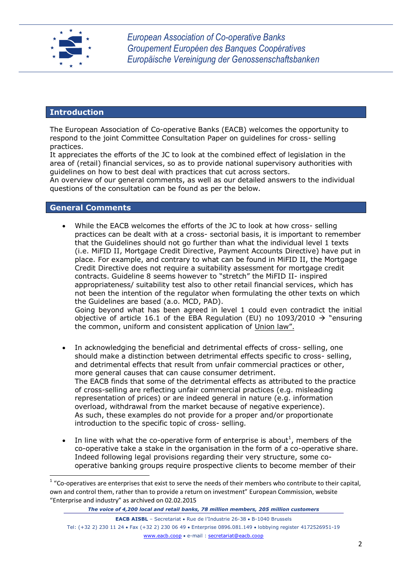

### **Introduction**

The European Association of Co-operative Banks (EACB) welcomes the opportunity to respond to the joint Committee Consultation Paper on guidelines for cross- selling practices.

It appreciates the efforts of the JC to look at the combined effect of legislation in the area of (retail) financial services, so as to provide national supervisory authorities with guidelines on how to best deal with practices that cut across sectors.

An overview of our general comments, as well as our detailed answers to the individual questions of the consultation can be found as per the below.

# **General Comments**

**.** 

- While the EACB welcomes the efforts of the JC to look at how cross- selling practices can be dealt with at a cross- sectorial basis, it is important to remember that the Guidelines should not go further than what the individual level 1 texts (i.e. MiFID II, Mortgage Credit Directive, Payment Accounts Directive) have put in place. For example, and contrary to what can be found in MiFID II, the Mortgage Credit Directive does not require a suitability assessment for mortgage credit contracts. Guideline 8 seems however to "stretch" the MiFID II- inspired appropriateness/ suitability test also to other retail financial services, which has not been the intention of the regulator when formulating the other texts on which the Guidelines are based (a.o. MCD, PAD). Going beyond what has been agreed in level 1 could even contradict the initial objective of article 16.1 of the EBA Regulation (EU) no 1093/2010  $\rightarrow$  "ensuring the common, uniform and consistent application of Union law".
- In acknowledging the beneficial and detrimental effects of cross- selling, one should make a distinction between detrimental effects specific to cross- selling, and detrimental effects that result from unfair commercial practices or other, more general causes that can cause consumer detriment. The EACB finds that some of the detrimental effects as attributed to the practice of cross-selling are reflecting unfair commercial practices (e.g. misleading representation of prices) or are indeed general in nature (e.g. information overload, withdrawal from the market because of negative experience). As such, these examples do not provide for a proper and/or proportionate introduction to the specific topic of cross- selling.
- In line with what the co-operative form of enterprise is about<sup>1</sup>, members of the co-operative take a stake in the organisation in the form of a co-operative share. Indeed following legal provisions regarding their very structure, some cooperative banking groups require prospective clients to become member of their

 $1$  "Co-operatives are enterprises that exist to serve the needs of their members who contribute to their capital, own and control them, rather than to provide a return on investment" European Commission, website "Enterprise and industry" as archived on 02.02.2015

**EACB AISBL** – Secretariat • Rue de l'Industrie 26-38 • B-1040 Brussels Tel: (+32 2) 230 11 24 Fax (+32 2) 230 06 49 Enterprise 0896.081.149 lobbying register 4172526951-19 [www.eacb.coop](http://www.eacb.coop/) e-mail : [secretariat@eacb.coop](mailto:secretariat@eacb.coop)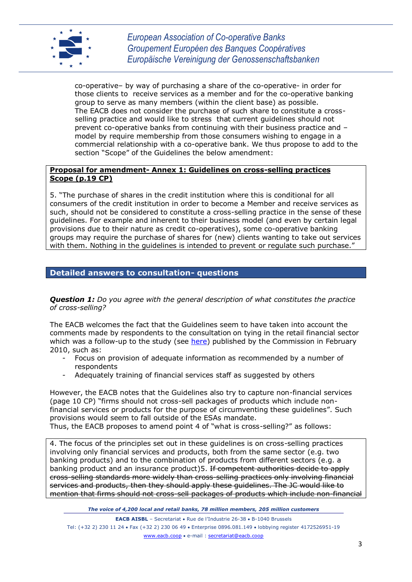

co-operative– by way of purchasing a share of the co-operative- in order for those clients to receive services as a member and for the co-operative banking group to serve as many members (within the client base) as possible. The EACB does not consider the purchase of such share to constitute a crossselling practice and would like to stress that current guidelines should not prevent co-operative banks from continuing with their business practice and – model by require membership from those consumers wishing to engage in a commercial relationship with a co-operative bank. We thus propose to add to the section "Scope" of the Guidelines the below amendment:

#### **Proposal for amendment- Annex 1: Guidelines on cross-selling practices Scope (p.19 CP)**

5. "The purchase of shares in the credit institution where this is conditional for all consumers of the credit institution in order to become a Member and receive services as such, should not be considered to constitute a cross-selling practice in the sense of these guidelines. For example and inherent to their business model (and even by certain legal provisions due to their nature as credit co-operatives), some co-operative banking groups may require the purchase of shares for (new) clients wanting to take out services with them. Nothing in the guidelines is intended to prevent or regulate such purchase."

# **Detailed answers to consultation- questions**

*Question 1: Do you agree with the general description of what constitutes the practice of cross-selling?*

The EACB welcomes the fact that the Guidelines seem to have taken into account the comments made by respondents to the consultation on tying in the retail financial sector which was a follow-up to the study (see [here\)](http://ec.europa.eu/internal_market/consultations/2010/tying_en.htm) published by the Commission in February 2010, such as:

- *-* Focus on provision of adequate information as recommended by a number of respondents
- *-* Adequately training of financial services staff as suggested by others

However, the EACB notes that the Guidelines also try to capture non-financial services (page 10 CP) "firms should not cross-sell packages of products which include nonfinancial services or products for the purpose of circumventing these guidelines". Such provisions would seem to fall outside of the ESAs mandate.

Thus, the EACB proposes to amend point 4 of "what is cross-selling?" as follows:

4. The focus of the principles set out in these guidelines is on cross-selling practices involving only financial services and products, both from the same sector (e.g. two banking products) and to the combination of products from different sectors (e.g. a banking product and an insurance product)5. If competent authorities decide to apply cross-selling standards more widely than cross-selling practices only involving financial services and products, then they should apply these guidelines. The JC would like to mention that firms should not cross-sell packages of products which include non-financial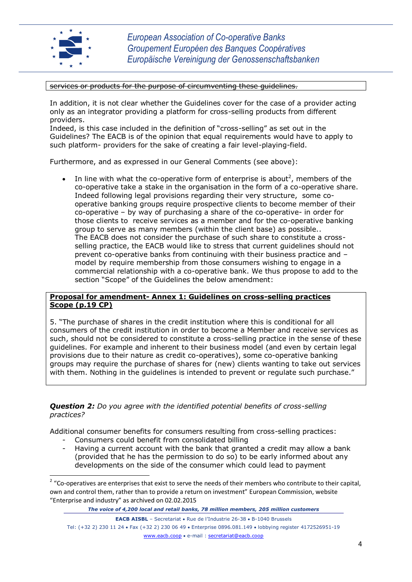

**.** 

*European Association of Co-operative Banks Groupement Européen des Banques Coopératives Europäische Vereinigung der Genossenschaftsbanken*

services or products for the purpose of circumventing these guidelines.

In addition, it is not clear whether the Guidelines cover for the case of a provider acting only as an integrator providing a platform for cross-selling products from different providers.

Indeed, is this case included in the definition of "cross-selling" as set out in the Guidelines? The EACB is of the opinion that equal requirements would have to apply to such platform- providers for the sake of creating a fair level-playing-field.

Furthermore, and as expressed in our General Comments (see above):

In line with what the co-operative form of enterprise is about<sup>2</sup>, members of the co-operative take a stake in the organisation in the form of a co-operative share. Indeed following legal provisions regarding their very structure, some cooperative banking groups require prospective clients to become member of their co-operative – by way of purchasing a share of the co-operative- in order for those clients to receive services as a member and for the co-operative banking group to serve as many members (within the client base) as possible.. The EACB does not consider the purchase of such share to constitute a crossselling practice, the EACB would like to stress that current guidelines should not prevent co-operative banks from continuing with their business practice and – model by require membership from those consumers wishing to engage in a commercial relationship with a co-operative bank. We thus propose to add to the section "Scope" of the Guidelines the below amendment:

#### **Proposal for amendment- Annex 1: Guidelines on cross-selling practices Scope (p.19 CP)**

5. "The purchase of shares in the credit institution where this is conditional for all consumers of the credit institution in order to become a Member and receive services as such, should not be considered to constitute a cross-selling practice in the sense of these guidelines. For example and inherent to their business model (and even by certain legal provisions due to their nature as credit co-operatives), some co-operative banking groups may require the purchase of shares for (new) clients wanting to take out services with them. Nothing in the guidelines is intended to prevent or regulate such purchase."

#### *Question 2: Do you agree with the identified potential benefits of cross-selling practices?*

Additional consumer benefits for consumers resulting from cross-selling practices:

- *-* Consumers could benefit from consolidated billing
- *-* Having a current account with the bank that granted a credit may allow a bank (provided that he has the permission to do so) to be early informed about any developments on the side of the consumer which could lead to payment

*The voice of 4,200 local and retail banks, 78 million members, 205 million customers*

**EACB AISBL** – Secretariat • Rue de l'Industrie 26-38 • B-1040 Brussels

<sup>&</sup>lt;sup>2</sup> "Co-operatives are enterprises that exist to serve the needs of their members who contribute to their capital, own and control them, rather than to provide a return on investment" European Commission, website "Enterprise and industry" as archived on 02.02.2015

Tel: (+32 2) 230 11 24 Fax (+32 2) 230 06 49 Enterprise 0896.081.149 lobbying register 4172526951-19 [www.eacb.coop](http://www.eacb.coop/) e-mail : [secretariat@eacb.coop](mailto:secretariat@eacb.coop)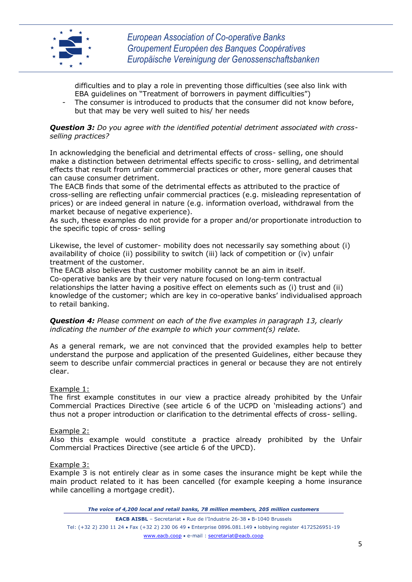

difficulties and to play a role in preventing those difficulties (see also link with EBA guidelines on "Treatment of borrowers in payment difficulties")

The consumer is introduced to products that the consumer did not know before, but that may be very well suited to his/ her needs

*Question 3: Do you agree with the identified potential detriment associated with crossselling practices?*

In acknowledging the beneficial and detrimental effects of cross- selling, one should make a distinction between detrimental effects specific to cross- selling, and detrimental effects that result from unfair commercial practices or other, more general causes that can cause consumer detriment.

The EACB finds that some of the detrimental effects as attributed to the practice of cross-selling are reflecting unfair commercial practices (e.g. misleading representation of prices) or are indeed general in nature (e.g. information overload, withdrawal from the market because of negative experience).

As such, these examples do not provide for a proper and/or proportionate introduction to the specific topic of cross- selling

Likewise, the level of customer- mobility does not necessarily say something about (i) availability of choice (ii) possibility to switch (iii) lack of competition or (iv) unfair treatment of the customer.

The EACB also believes that customer mobility cannot be an aim in itself. Co-operative banks are by their very nature focused on long-term contractual relationships the latter having a positive effect on elements such as (i) trust and (ii) knowledge of the customer; which are key in co-operative banks' individualised approach to retail banking.

*Question 4: Please comment on each of the five examples in paragraph 13, clearly indicating the number of the example to which your comment(s) relate.*

As a general remark, we are not convinced that the provided examples help to better understand the purpose and application of the presented Guidelines, either because they seem to describe unfair commercial practices in general or because they are not entirely clear.

Example 1:

The first example constitutes in our view a practice already prohibited by the Unfair Commercial Practices Directive (see article 6 of the UCPD on 'misleading actions') and thus not a proper introduction or clarification to the detrimental effects of cross- selling.

#### Example 2:

Also this example would constitute a practice already prohibited by the Unfair Commercial Practices Directive (see article 6 of the UPCD).

Example 3:

Example 3 is not entirely clear as in some cases the insurance might be kept while the main product related to it has been cancelled (for example keeping a home insurance while cancelling a mortgage credit).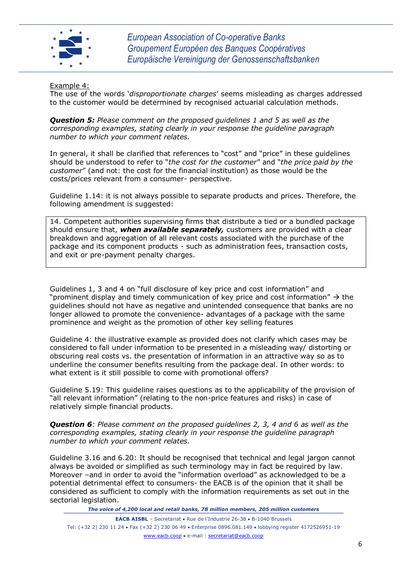

#### Example 4:

The use of the words '*disproportionate charges*' seems misleading as charges addressed to the customer would be determined by recognised actuarial calculation methods.

*Question 5: Please comment on the proposed guidelines 1 and 5 as well as the corresponding examples, stating clearly in your response the guideline paragraph number to which your comment relates.*

In general, it shall be clarified that references to "cost" and "price" in these guidelines should be understood to refer to "*the cost for the customer*" and "*the price paid by the customer*" (and not: the cost for the financial institution) as those would be the costs/prices relevant from a consumer- perspective.

Guideline 1.14: it is not always possible to separate products and prices. Therefore, the following amendment is suggested:

14. Competent authorities supervising firms that distribute a tied or a bundled package should ensure that, *when available separately,* customers are provided with a clear breakdown and aggregation of all relevant costs associated with the purchase of the package and its component products - such as administration fees, transaction costs, and exit or pre-payment penalty charges.

Guidelines 1, 3 and 4 on "full disclosure of key price and cost information" and "prominent display and timely communication of key price and cost information"  $\rightarrow$  the guidelines should not have as negative and unintended consequence that banks are no longer allowed to promote the convenience- advantages of a package with the same prominence and weight as the promotion of other key selling features

Guideline 4: the illustrative example as provided does not clarify which cases may be considered to fall under information to be presented in a misleading way/ distorting or obscuring real costs vs. the presentation of information in an attractive way so as to underline the consumer benefits resulting from the package deal. In other words: to what extent is it still possible to come with promotional offers?

Guideline 5.19: This guideline raises questions as to the applicability of the provision of "all relevant information" (relating to the non-price features and risks) in case of relatively simple financial products.

*Question 6: Please comment on the proposed guidelines 2, 3, 4 and 6 as well as the corresponding examples, stating clearly in your response the guideline paragraph number to which your comment relates.* 

Guideline 3.16 and 6.20: It should be recognised that technical and legal jargon cannot always be avoided or simplified as such terminology may in fact be required by law. Moreover –and in order to avoid the "information overload" as acknowledged to be a potential detrimental effect to consumers- the EACB is of the opinion that it shall be considered as sufficient to comply with the information requirements as set out in the sectorial legislation.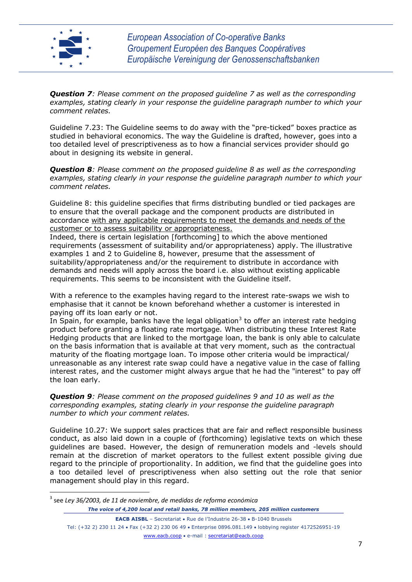

1

*Question 7: Please comment on the proposed guideline 7 as well as the corresponding examples, stating clearly in your response the guideline paragraph number to which your comment relates.* 

Guideline 7.23: The Guideline seems to do away with the "pre-ticked" boxes practice as studied in behavioral economics. The way the Guideline is drafted, however, goes into a too detailed level of prescriptiveness as to how a financial services provider should go about in designing its website in general.

*Question 8: Please comment on the proposed guideline 8 as well as the corresponding examples, stating clearly in your response the guideline paragraph number to which your comment relates.* 

Guideline 8: this guideline specifies that firms distributing bundled or tied packages are to ensure that the overall package and the component products are distributed in accordance with any applicable requirements to meet the demands and needs of the customer or to assess suitability or appropriateness.

Indeed, there is certain legislation [forthcoming] to which the above mentioned requirements (assessment of suitability and/or appropriateness) apply. The illustrative examples 1 and 2 to Guideline 8, however, presume that the assessment of suitability/appropriateness and/or the requirement to distribute in accordance with demands and needs will apply across the board i.e. also without existing applicable requirements. This seems to be inconsistent with the Guideline itself.

With a reference to the examples having regard to the interest rate-swaps we wish to emphasise that it cannot be known beforehand whether a customer is interested in paying off its loan early or not.

In Spain, for example, banks have the legal obligation<sup>3</sup> to offer an interest rate hedging product before granting a floating rate mortgage. When distributing these Interest Rate Hedging products that are linked to the mortgage loan, the bank is only able to calculate on the basis information that is available at that very moment, such as the contractual maturity of the floating mortgage loan. To impose other criteria would be impractical/ unreasonable as any interest rate swap could have a negative value in the case of falling interest rates, and the customer might always argue that he had the "interest" to pay off the loan early.

*Question 9: Please comment on the proposed guidelines 9 and 10 as well as the corresponding examples, stating clearly in your response the guideline paragraph number to which your comment relates.* 

Guideline 10.27: We support sales practices that are fair and reflect responsible business conduct, as also laid down in a couple of (forthcoming) legislative texts on which these guidelines are based. However, the design of remuneration models and -levels should remain at the discretion of market operators to the fullest extent possible giving due regard to the principle of proportionality. In addition, we find that the guideline goes into a too detailed level of prescriptiveness when also setting out the role that senior management should play in this regard.

*The voice of 4,200 local and retail banks, 78 million members, 205 million customers* 3 see *Ley 36/2003, de 11 de noviembre, de medidas de reforma económica*

**EACB AISBL** – Secretariat • Rue de l'Industrie 26-38 • B-1040 Brussels Tel: (+32 2) 230 11 24 Fax (+32 2) 230 06 49 Enterprise 0896.081.149 lobbying register 4172526951-19 [www.eacb.coop](http://www.eacb.coop/) e-mail : [secretariat@eacb.coop](mailto:secretariat@eacb.coop)